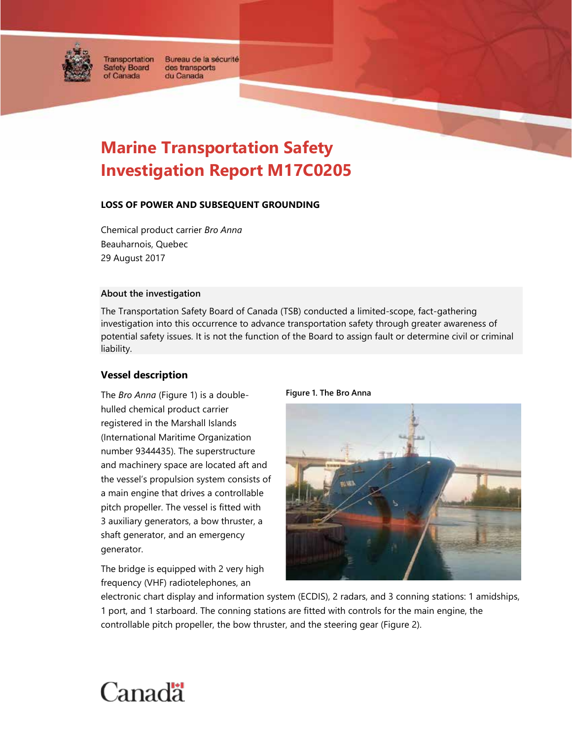

of Canada

Transportation Bureau de la sécurité **Safety Board** des transports du Canada

# **Marine Transportation Safety Investigation Report M17C0205**

#### **LOSS OF POWER AND SUBSEQUENT GROUNDING**

Chemical product carrier *Bro Anna* Beauharnois, Quebec 29 August 2017

#### **About the investigation**

The Transportation Safety Board of Canada (TSB) conducted a limited-scope, fact-gathering investigation into this occurrence to advance transportation safety through greater awareness of potential safety issues. It is not the function of the Board to assign fault or determine civil or criminal liability.

# **Vessel description**

The *Bro Anna* (Figure 1) is a doublehulled chemical product carrier registered in the Marshall Islands (International Maritime Organization number 9344435). The superstructure and machinery space are located aft and the vessel's propulsion system consists of a main engine that drives a controllable pitch propeller. The vessel is fitted with 3 auxiliary generators, a bow thruster, a shaft generator, and an emergency generator.

The bridge is equipped with 2 very high frequency (VHF) radiotelephones, an





electronic chart display and information system (ECDIS), 2 radars, and 3 conning stations: 1 amidships, 1 port, and 1 starboard. The conning stations are fitted with controls for the main engine, the controllable pitch propeller, the bow thruster, and the steering gear (Figure 2).

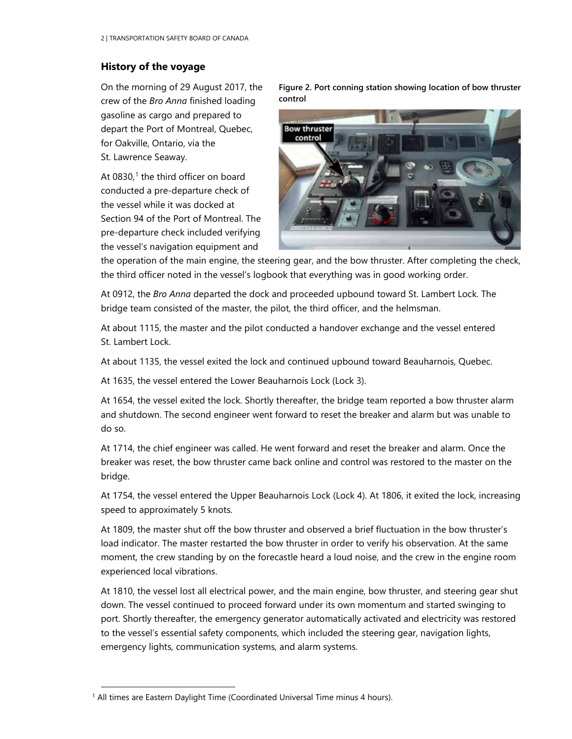# **History of the voyage**

On the morning of 29 August 2017, the crew of the *Bro Anna* finished loading gasoline as cargo and prepared to depart the Port of Montreal, Quebec, for Oakville, Ontario, via the St. Lawrence Seaway.

At  $0830<sup>1</sup>$  $0830<sup>1</sup>$  $0830<sup>1</sup>$  the third officer on board conducted a pre-departure check of the vessel while it was docked at Section 94 of the Port of Montreal. The pre-departure check included verifying the vessel's navigation equipment and

**Figure 2. Port conning station showing location of bow thruster control**



the operation of the main engine, the steering gear, and the bow thruster. After completing the check, the third officer noted in the vessel's logbook that everything was in good working order.

At 0912, the *Bro Anna* departed the dock and proceeded upbound toward St. Lambert Lock. The bridge team consisted of the master, the pilot, the third officer, and the helmsman.

At about 1115, the master and the pilot conducted a handover exchange and the vessel entered St. Lambert Lock.

At about 1135, the vessel exited the lock and continued upbound toward Beauharnois, Quebec.

At 1635, the vessel entered the Lower Beauharnois Lock (Lock 3).

At 1654, the vessel exited the lock. Shortly thereafter, the bridge team reported a bow thruster alarm and shutdown. The second engineer went forward to reset the breaker and alarm but was unable to do so.

At 1714, the chief engineer was called. He went forward and reset the breaker and alarm. Once the breaker was reset, the bow thruster came back online and control was restored to the master on the bridge.

At 1754, the vessel entered the Upper Beauharnois Lock (Lock 4). At 1806, it exited the lock, increasing speed to approximately 5 knots.

At 1809, the master shut off the bow thruster and observed a brief fluctuation in the bow thruster's load indicator. The master restarted the bow thruster in order to verify his observation. At the same moment, the crew standing by on the forecastle heard a loud noise, and the crew in the engine room experienced local vibrations.

At 1810, the vessel lost all electrical power, and the main engine, bow thruster, and steering gear shut down. The vessel continued to proceed forward under its own momentum and started swinging to port. Shortly thereafter, the emergency generator automatically activated and electricity was restored to the vessel's essential safety components, which included the steering gear, navigation lights, emergency lights, communication systems, and alarm systems.

<span id="page-1-0"></span><sup>&</sup>lt;sup>1</sup> All times are Eastern Daylight Time (Coordinated Universal Time minus 4 hours).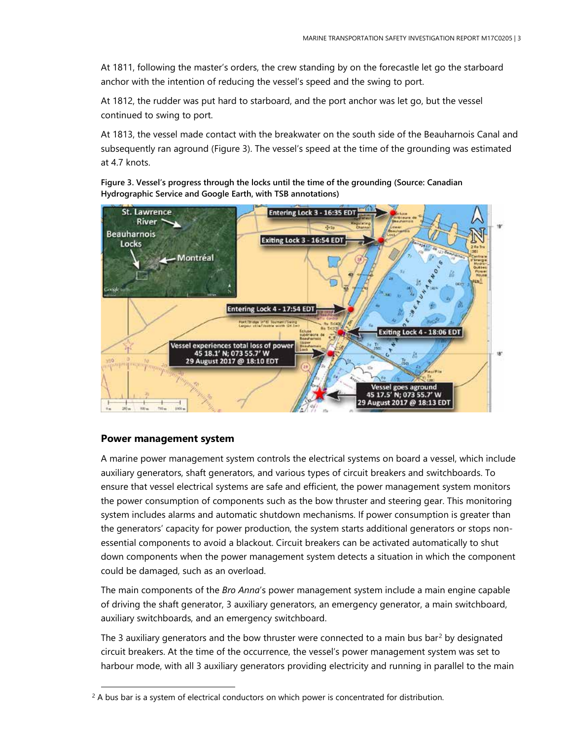At 1811, following the master's orders, the crew standing by on the forecastle let go the starboard anchor with the intention of reducing the vessel's speed and the swing to port.

At 1812, the rudder was put hard to starboard, and the port anchor was let go, but the vessel continued to swing to port.

At 1813, the vessel made contact with the breakwater on the south side of the Beauharnois Canal and subsequently ran aground (Figure 3). The vessel's speed at the time of the grounding was estimated at 4.7 knots.

**Figure 3. Vessel's progress through the locks until the time of the grounding (Source: Canadian Hydrographic Service and Google Earth, with TSB annotations)**



#### **Power management system**

A marine power management system controls the electrical systems on board a vessel, which include auxiliary generators, shaft generators, and various types of circuit breakers and switchboards. To ensure that vessel electrical systems are safe and efficient, the power management system monitors the power consumption of components such as the bow thruster and steering gear. This monitoring system includes alarms and automatic shutdown mechanisms. If power consumption is greater than the generators' capacity for power production, the system starts additional generators or stops nonessential components to avoid a blackout. Circuit breakers can be activated automatically to shut down components when the power management system detects a situation in which the component could be damaged, such as an overload.

The main components of the *Bro Anna*'s power management system include a main engine capable of driving the shaft generator, 3 auxiliary generators, an emergency generator, a main switchboard, auxiliary switchboards, and an emergency switchboard.

The 3 auxiliary generators and the bow thruster were connected to a main bus bar<sup>[2](#page-2-0)</sup> by designated circuit breakers. At the time of the occurrence, the vessel's power management system was set to harbour mode, with all 3 auxiliary generators providing electricity and running in parallel to the main

<span id="page-2-0"></span><sup>&</sup>lt;sup>2</sup> A bus bar is a system of electrical conductors on which power is concentrated for distribution.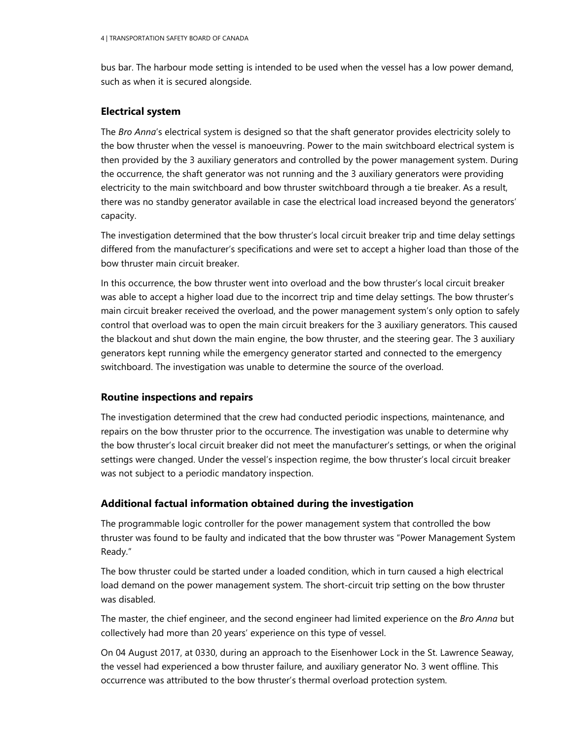bus bar. The harbour mode setting is intended to be used when the vessel has a low power demand, such as when it is secured alongside.

#### **Electrical system**

The *Bro Anna*'s electrical system is designed so that the shaft generator provides electricity solely to the bow thruster when the vessel is manoeuvring. Power to the main switchboard electrical system is then provided by the 3 auxiliary generators and controlled by the power management system. During the occurrence, the shaft generator was not running and the 3 auxiliary generators were providing electricity to the main switchboard and bow thruster switchboard through a tie breaker. As a result, there was no standby generator available in case the electrical load increased beyond the generators' capacity.

The investigation determined that the bow thruster's local circuit breaker trip and time delay settings differed from the manufacturer's specifications and were set to accept a higher load than those of the bow thruster main circuit breaker.

In this occurrence, the bow thruster went into overload and the bow thruster's local circuit breaker was able to accept a higher load due to the incorrect trip and time delay settings. The bow thruster's main circuit breaker received the overload, and the power management system's only option to safely control that overload was to open the main circuit breakers for the 3 auxiliary generators. This caused the blackout and shut down the main engine, the bow thruster, and the steering gear. The 3 auxiliary generators kept running while the emergency generator started and connected to the emergency switchboard. The investigation was unable to determine the source of the overload.

# **Routine inspections and repairs**

The investigation determined that the crew had conducted periodic inspections, maintenance, and repairs on the bow thruster prior to the occurrence. The investigation was unable to determine why the bow thruster's local circuit breaker did not meet the manufacturer's settings, or when the original settings were changed. Under the vessel's inspection regime, the bow thruster's local circuit breaker was not subject to a periodic mandatory inspection.

# **Additional factual information obtained during the investigation**

The programmable logic controller for the power management system that controlled the bow thruster was found to be faulty and indicated that the bow thruster was "Power Management System Ready."

The bow thruster could be started under a loaded condition, which in turn caused a high electrical load demand on the power management system. The short-circuit trip setting on the bow thruster was disabled.

The master, the chief engineer, and the second engineer had limited experience on the *Bro Anna* but collectively had more than 20 years' experience on this type of vessel.

On 04 August 2017, at 0330, during an approach to the Eisenhower Lock in the St. Lawrence Seaway, the vessel had experienced a bow thruster failure, and auxiliary generator No. 3 went offline. This occurrence was attributed to the bow thruster's thermal overload protection system.